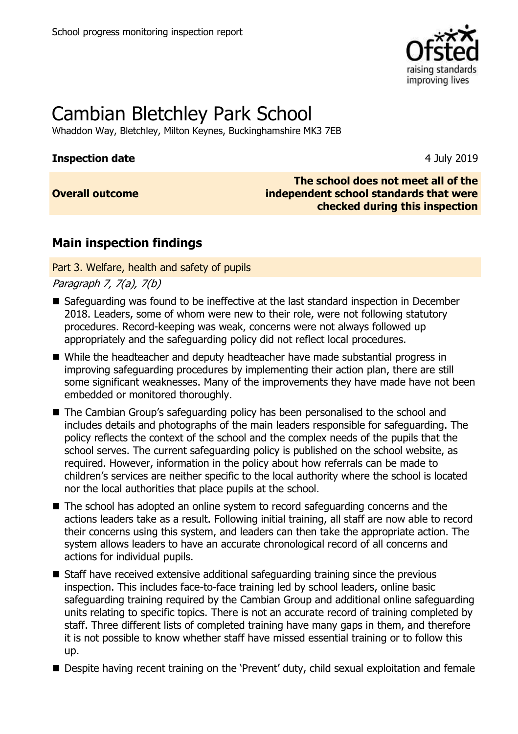

# Cambian Bletchley Park School

Whaddon Way, Bletchley, Milton Keynes, Buckinghamshire MK3 7EB

### **Inspection date** 4 July 2019

### **Overall outcome**

### **The school does not meet all of the independent school standards that were checked during this inspection**

### **Main inspection findings**

Part 3. Welfare, health and safety of pupils

Paragraph 7, 7(a), 7(b)

- Safeguarding was found to be ineffective at the last standard inspection in December 2018. Leaders, some of whom were new to their role, were not following statutory procedures. Record-keeping was weak, concerns were not always followed up appropriately and the safeguarding policy did not reflect local procedures.
- While the headteacher and deputy headteacher have made substantial progress in improving safeguarding procedures by implementing their action plan, there are still some significant weaknesses. Many of the improvements they have made have not been embedded or monitored thoroughly.
- The Cambian Group's safeguarding policy has been personalised to the school and includes details and photographs of the main leaders responsible for safeguarding. The policy reflects the context of the school and the complex needs of the pupils that the school serves. The current safeguarding policy is published on the school website, as required. However, information in the policy about how referrals can be made to children's services are neither specific to the local authority where the school is located nor the local authorities that place pupils at the school.
- The school has adopted an online system to record safeguarding concerns and the actions leaders take as a result. Following initial training, all staff are now able to record their concerns using this system, and leaders can then take the appropriate action. The system allows leaders to have an accurate chronological record of all concerns and actions for individual pupils.
- Staff have received extensive additional safeguarding training since the previous inspection. This includes face-to-face training led by school leaders, online basic safeguarding training required by the Cambian Group and additional online safeguarding units relating to specific topics. There is not an accurate record of training completed by staff. Three different lists of completed training have many gaps in them, and therefore it is not possible to know whether staff have missed essential training or to follow this up.
- Despite having recent training on the 'Prevent' duty, child sexual exploitation and female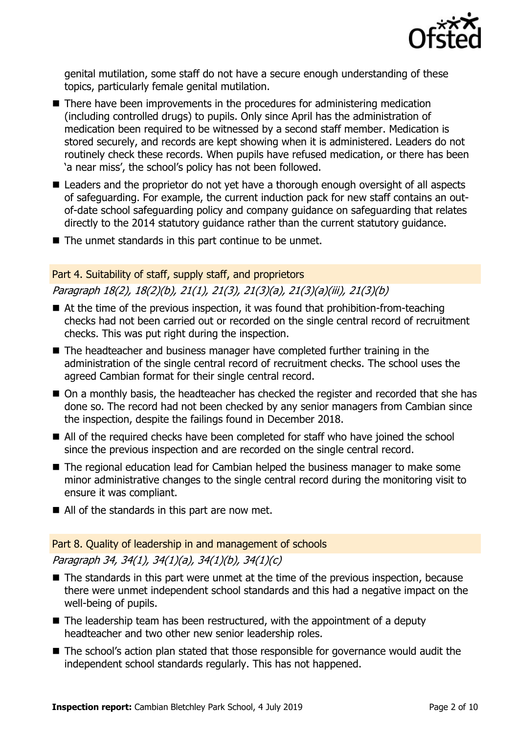

genital mutilation, some staff do not have a secure enough understanding of these topics, particularly female genital mutilation.

- There have been improvements in the procedures for administering medication (including controlled drugs) to pupils. Only since April has the administration of medication been required to be witnessed by a second staff member. Medication is stored securely, and records are kept showing when it is administered. Leaders do not routinely check these records. When pupils have refused medication, or there has been 'a near miss', the school's policy has not been followed.
- Leaders and the proprietor do not yet have a thorough enough oversight of all aspects of safeguarding. For example, the current induction pack for new staff contains an outof-date school safeguarding policy and company guidance on safeguarding that relates directly to the 2014 statutory guidance rather than the current statutory guidance.
- $\blacksquare$  The unmet standards in this part continue to be unmet.

### Part 4. Suitability of staff, supply staff, and proprietors Paragraph 18(2), 18(2)(b), 21(1), 21(3), 21(3)(a), 21(3)(a)(iii), 21(3)(b)

- $\blacksquare$  At the time of the previous inspection, it was found that prohibition-from-teaching checks had not been carried out or recorded on the single central record of recruitment checks. This was put right during the inspection.
- The headteacher and business manager have completed further training in the administration of the single central record of recruitment checks. The school uses the agreed Cambian format for their single central record.
- On a monthly basis, the headteacher has checked the register and recorded that she has done so. The record had not been checked by any senior managers from Cambian since the inspection, despite the failings found in December 2018.
- All of the required checks have been completed for staff who have joined the school since the previous inspection and are recorded on the single central record.
- The regional education lead for Cambian helped the business manager to make some minor administrative changes to the single central record during the monitoring visit to ensure it was compliant.
- All of the standards in this part are now met.

### Part 8. Quality of leadership in and management of schools

Paragraph 34, 34(1), 34(1)(a), 34(1)(b), 34(1)(c)

- The standards in this part were unmet at the time of the previous inspection, because there were unmet independent school standards and this had a negative impact on the well-being of pupils.
- $\blacksquare$  The leadership team has been restructured, with the appointment of a deputy headteacher and two other new senior leadership roles.
- The school's action plan stated that those responsible for governance would audit the independent school standards regularly. This has not happened.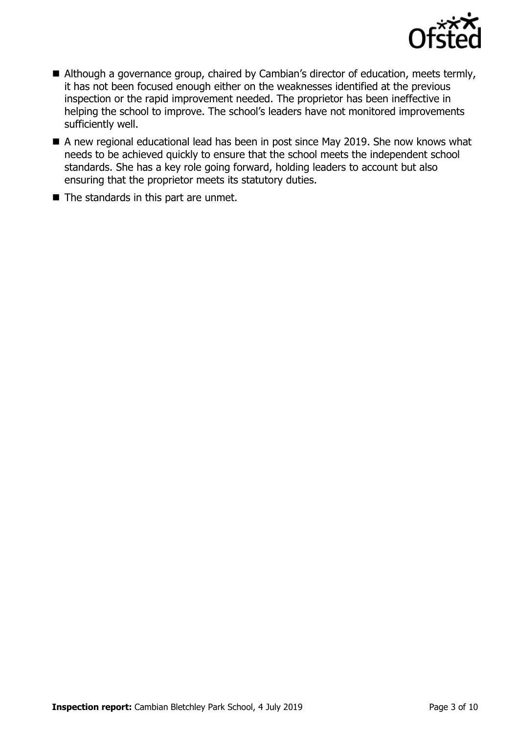

- Although a governance group, chaired by Cambian's director of education, meets termly, it has not been focused enough either on the weaknesses identified at the previous inspection or the rapid improvement needed. The proprietor has been ineffective in helping the school to improve. The school's leaders have not monitored improvements sufficiently well.
- A new regional educational lead has been in post since May 2019. She now knows what needs to be achieved quickly to ensure that the school meets the independent school standards. She has a key role going forward, holding leaders to account but also ensuring that the proprietor meets its statutory duties.
- The standards in this part are unmet.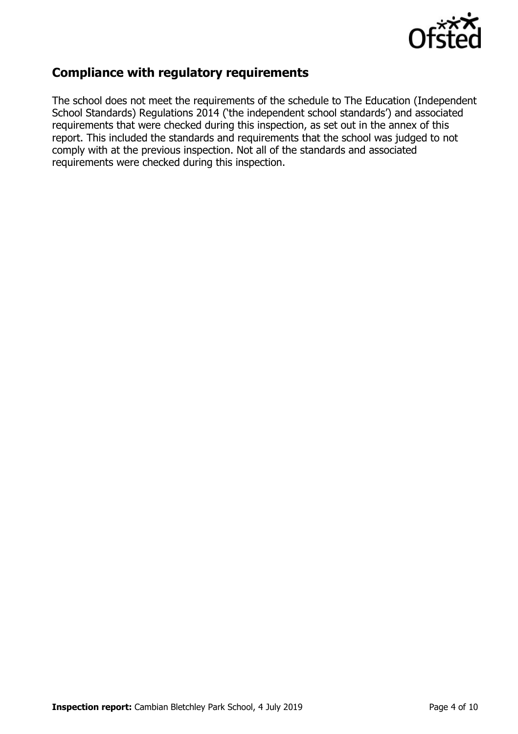

### **Compliance with regulatory requirements**

The school does not meet the requirements of the schedule to The Education (Independent School Standards) Regulations 2014 ('the independent school standards') and associated requirements that were checked during this inspection, as set out in the annex of this report. This included the standards and requirements that the school was judged to not comply with at the previous inspection. Not all of the standards and associated requirements were checked during this inspection.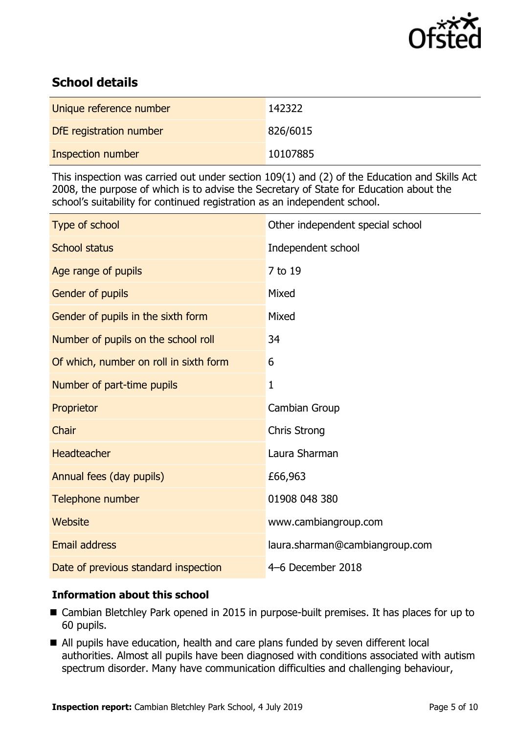

## **School details**

| Unique reference number | 142322   |
|-------------------------|----------|
| DfE registration number | 826/6015 |
| Inspection number       | 10107885 |

This inspection was carried out under section 109(1) and (2) of the Education and Skills Act 2008, the purpose of which is to advise the Secretary of State for Education about the school's suitability for continued registration as an independent school.

| Type of school                         | Other independent special school |
|----------------------------------------|----------------------------------|
| <b>School status</b>                   | Independent school               |
| Age range of pupils                    | 7 to 19                          |
| Gender of pupils                       | Mixed                            |
| Gender of pupils in the sixth form     | Mixed                            |
| Number of pupils on the school roll    | 34                               |
| Of which, number on roll in sixth form | 6                                |
| Number of part-time pupils             | $\mathbf{1}$                     |
| Proprietor                             | Cambian Group                    |
| Chair                                  | <b>Chris Strong</b>              |
| <b>Headteacher</b>                     | Laura Sharman                    |
| Annual fees (day pupils)               | £66,963                          |
|                                        |                                  |
| Telephone number                       | 01908 048 380                    |
| Website                                | www.cambiangroup.com             |
| <b>Email address</b>                   | laura.sharman@cambiangroup.com   |

### **Information about this school**

- Cambian Bletchley Park opened in 2015 in purpose-built premises. It has places for up to 60 pupils.
- All pupils have education, health and care plans funded by seven different local authorities. Almost all pupils have been diagnosed with conditions associated with autism spectrum disorder. Many have communication difficulties and challenging behaviour,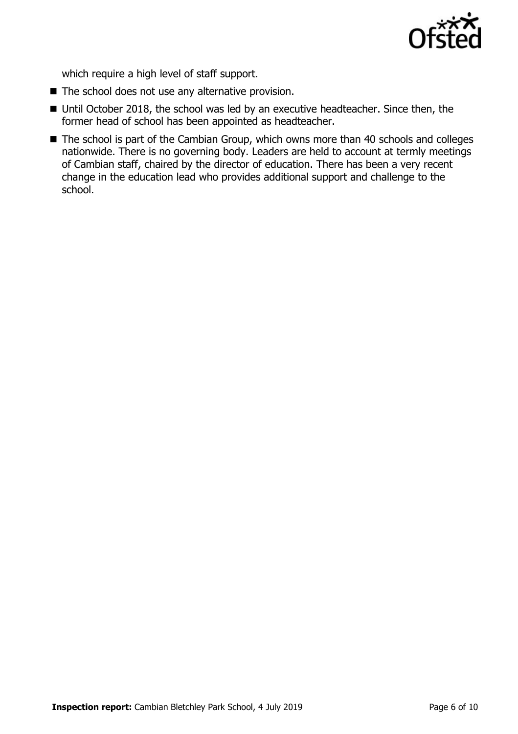

which require a high level of staff support.

- $\blacksquare$  The school does not use any alternative provision.
- Until October 2018, the school was led by an executive headteacher. Since then, the former head of school has been appointed as headteacher.
- The school is part of the Cambian Group, which owns more than 40 schools and colleges nationwide. There is no governing body. Leaders are held to account at termly meetings of Cambian staff, chaired by the director of education. There has been a very recent change in the education lead who provides additional support and challenge to the school.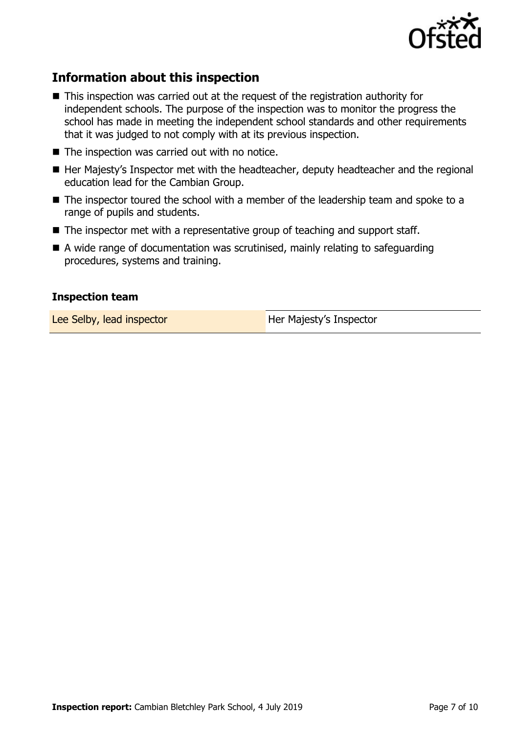

### **Information about this inspection**

- This inspection was carried out at the request of the registration authority for independent schools. The purpose of the inspection was to monitor the progress the school has made in meeting the independent school standards and other requirements that it was judged to not comply with at its previous inspection.
- $\blacksquare$  The inspection was carried out with no notice.
- Her Majesty's Inspector met with the headteacher, deputy headteacher and the regional education lead for the Cambian Group.
- The inspector toured the school with a member of the leadership team and spoke to a range of pupils and students.
- The inspector met with a representative group of teaching and support staff.
- A wide range of documentation was scrutinised, mainly relating to safeguarding procedures, systems and training.

#### **Inspection team**

Lee Selby, lead inspector **Her Majesty's Inspector**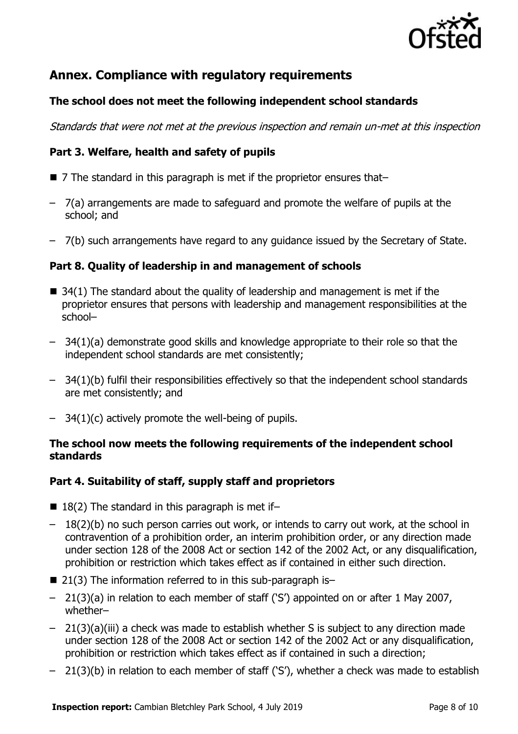

### **Annex. Compliance with regulatory requirements**

### **The school does not meet the following independent school standards**

Standards that were not met at the previous inspection and remain un-met at this inspection

### **Part 3. Welfare, health and safety of pupils**

- 7 The standard in this paragraph is met if the proprietor ensures that–
- 7(a) arrangements are made to safeguard and promote the welfare of pupils at the school; and
- 7(b) such arrangements have regard to any guidance issued by the Secretary of State.

### **Part 8. Quality of leadership in and management of schools**

- $\blacksquare$  34(1) The standard about the quality of leadership and management is met if the proprietor ensures that persons with leadership and management responsibilities at the school–
- 34(1)(a) demonstrate good skills and knowledge appropriate to their role so that the independent school standards are met consistently;
- 34(1)(b) fulfil their responsibilities effectively so that the independent school standards are met consistently; and
- 34(1)(c) actively promote the well-being of pupils.

### **The school now meets the following requirements of the independent school standards**

### **Part 4. Suitability of staff, supply staff and proprietors**

- $\blacksquare$  18(2) The standard in this paragraph is met if-
- 18(2)(b) no such person carries out work, or intends to carry out work, at the school in contravention of a prohibition order, an interim prohibition order, or any direction made under section 128 of the 2008 Act or section 142 of the 2002 Act, or any disqualification, prohibition or restriction which takes effect as if contained in either such direction.
- $\blacksquare$  21(3) The information referred to in this sub-paragraph is-
- 21(3)(a) in relation to each member of staff ('S') appointed on or after 1 May 2007, whether–
- 21(3)(a)(iii) a check was made to establish whether S is subject to any direction made under section 128 of the 2008 Act or section 142 of the 2002 Act or any disqualification, prohibition or restriction which takes effect as if contained in such a direction;
- 21(3)(b) in relation to each member of staff ('S'), whether a check was made to establish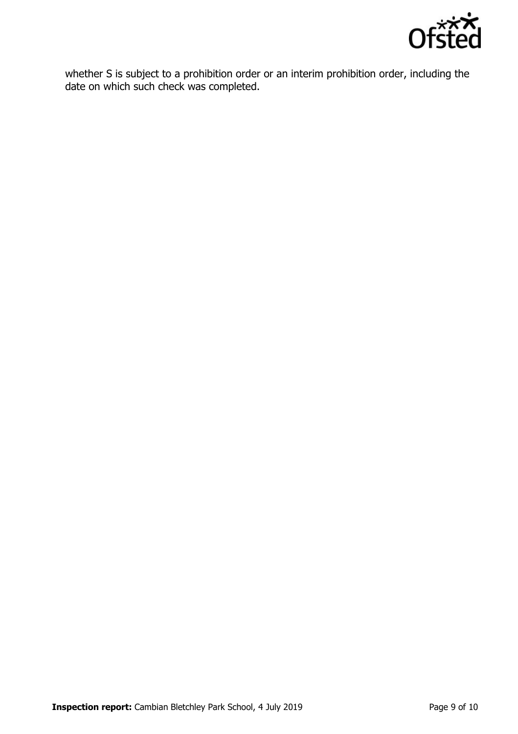

whether S is subject to a prohibition order or an interim prohibition order, including the date on which such check was completed.